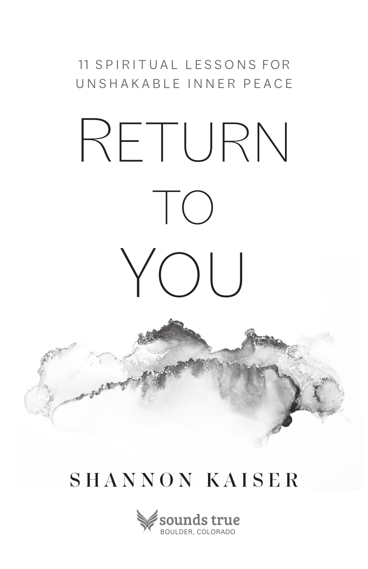# 11 SPIRITUAL LESSONS FOR UNSHAKABLE INNER PEACE



# SHANNON KAISER

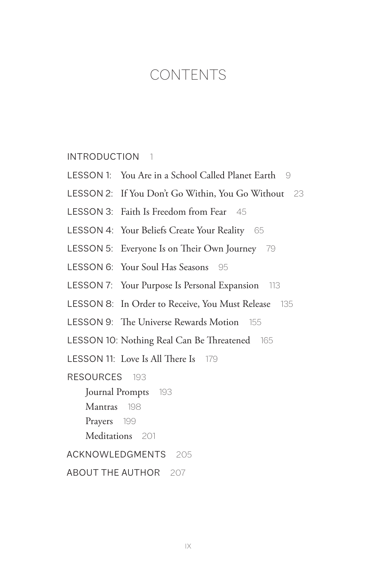### CONTENTS

INTRODUCTION 1

- LESSON 1: You Are in a School Called Planet Earth 9
- LESSON 2: If You Don't Go Within, You Go Without 23
- LESSON 3: Faith Is Freedom from Fear 45
- LESSON 4: Your Beliefs Create Your Reality 65
- LESSON 5: Everyone Is on Their Own Journey 79
- LESSON 6: Your Soul Has Seasons 95
- LESSON 7: Your Purpose Is Personal Expansion 113
- LESSON 8: In Order to Receive, You Must Release 135
- LESSON 9: The Universe Rewards Motion 155
- LESSON 10: Nothing Real Can Be Threatened 165

 $I$  ESSON 11: Love Is All There Is  $179$ 

RESOURCES 193

Journal Prompts 193

- Mantras 198
- Prayers 199
- Meditations 201

ACKNOWLEDGMENTS 205

ABOUT THE AUTHOR 207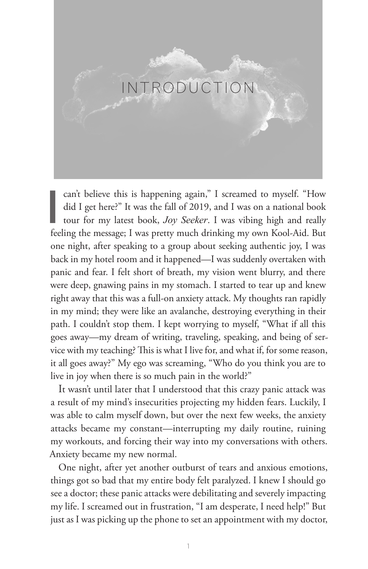## INTRODUCTION

can't believe this is happening again," I screamed to myself. "How<br>did I get here?" It was the fall of 2019, and I was on a national book<br>tour for my latest book, *Joy Seeker*. I was vibing high and really<br>feeling the mess did I get here?" It was the fall of 2019, and I was on a national book tour for my latest book, *Joy Seeker*. I was vibing high and really feeling the message; I was pretty much drinking my own Kool-Aid. But one night, after speaking to a group about seeking authentic joy, I was back in my hotel room and it happened—I was suddenly overtaken with panic and fear. I felt short of breath, my vision went blurry, and there were deep, gnawing pains in my stomach. I started to tear up and knew right away that this was a full-on anxiety attack. My thoughts ran rapidly in my mind; they were like an avalanche, destroying everything in their path. I couldn't stop them. I kept worrying to myself, "What if all this goes away—my dream of writing, traveling, speaking, and being of service with my teaching? This is what I live for, and what if, for some reason, it all goes away?" My ego was screaming, "Who do you think you are to live in joy when there is so much pain in the world?"

It wasn't until later that I understood that this crazy panic attack was a result of my mind's insecurities projecting my hidden fears. Luckily, I was able to calm myself down, but over the next few weeks, the anxiety attacks became my constant—interrupting my daily routine, ruining my workouts, and forcing their way into my conversations with others. Anxiety became my new normal.

One night, after yet another outburst of tears and anxious emotions, things got so bad that my entire body felt paralyzed. I knew I should go see a doctor; these panic attacks were debilitating and severely impacting my life. I screamed out in frustration, "I am desperate, I need help!" But just as I was picking up the phone to set an appointment with my doctor,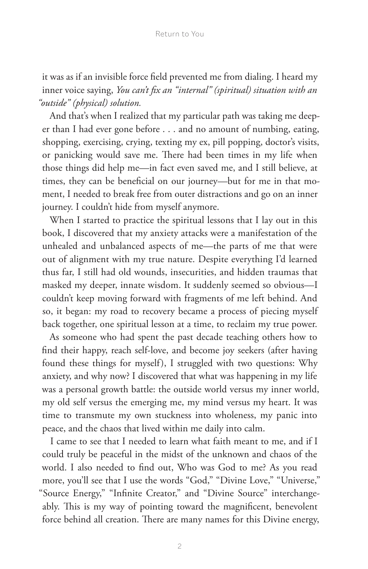it was as if an invisible force field prevented me from dialing. I heard my inner voice saying, *You can't !x an "internal" (spiritual) situation with an "outside" (physical) solution.*

And that's when I realized that my particular path was taking me deeper than I had ever gone before . . . and no amount of numbing, eating, shopping, exercising, crying, texting my ex, pill popping, doctor's visits, or panicking would save me. There had been times in my life when those things did help me—in fact even saved me, and I still believe, at times, they can be beneficial on our journey—but for me in that moment, I needed to break free from outer distractions and go on an inner journey. I couldn't hide from myself anymore.

When I started to practice the spiritual lessons that I lay out in this book, I discovered that my anxiety attacks were a manifestation of the unhealed and unbalanced aspects of me—the parts of me that were out of alignment with my true nature. Despite everything I'd learned thus far, I still had old wounds, insecurities, and hidden traumas that masked my deeper, innate wisdom. It suddenly seemed so obvious—I couldn't keep moving forward with fragments of me left behind. And so, it began: my road to recovery became a process of piecing myself back together, one spiritual lesson at a time, to reclaim my true power.

As someone who had spent the past decade teaching others how to find their happy, reach self-love, and become joy seekers (after having found these things for myself), I struggled with two questions: Why anxiety, and why now? I discovered that what was happening in my life was a personal growth battle: the outside world versus my inner world, my old self versus the emerging me, my mind versus my heart. It was time to transmute my own stuckness into wholeness, my panic into peace, and the chaos that lived within me daily into calm.

I came to see that I needed to learn what faith meant to me, and if I could truly be peaceful in the midst of the unknown and chaos of the world. I also needed to find out, Who was God to me? As you read more, you'll see that I use the words "God," "Divine Love," "Universe," "Source Energy," "Infinite Creator," and "Divine Source" interchangeably. This is my way of pointing toward the magnificent, benevolent force behind all creation. There are many names for this Divine energy,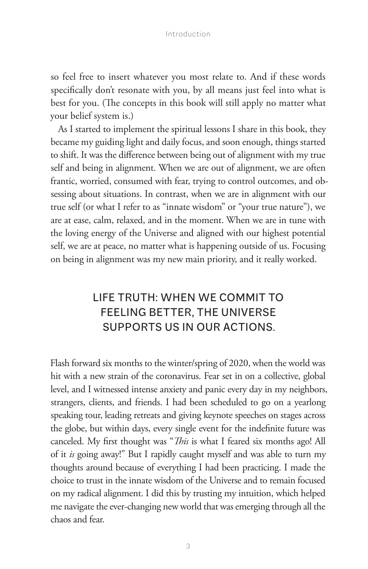so feel free to insert whatever you most relate to. And if these words specifically don't resonate with you, by all means just feel into what is best for you. (The concepts in this book will still apply no matter what your belief system is.)

As I started to implement the spiritual lessons I share in this book, they became my guiding light and daily focus, and soon enough, things started to shift. It was the difference between being out of alignment with my true self and being in alignment. When we are out of alignment, we are often frantic, worried, consumed with fear, trying to control outcomes, and obsessing about situations. In contrast, when we are in alignment with our true self (or what I refer to as "innate wisdom" or "your true nature"), we are at ease, calm, relaxed, and in the moment. When we are in tune with the loving energy of the Universe and aligned with our highest potential self, we are at peace, no matter what is happening outside of us. Focusing on being in alignment was my new main priority, and it really worked.

#### LIFE TRUTH: WHEN WE COMMIT TO FEELING BETTER, THE UNIVERSE SUPPORTS US IN OUR ACTIONS.

Flash forward six months to the winter/spring of 2020, when the world was hit with a new strain of the coronavirus. Fear set in on a collective, global level, and I witnessed intense anxiety and panic every day in my neighbors, strangers, clients, and friends. I had been scheduled to go on a yearlong speaking tour, leading retreats and giving keynote speeches on stages across the globe, but within days, every single event for the indefinite future was canceled. My first thought was "*This* is what I feared six months ago! All of it *is* going away!" But I rapidly caught myself and was able to turn my thoughts around because of everything I had been practicing. I made the choice to trust in the innate wisdom of the Universe and to remain focused on my radical alignment. I did this by trusting my intuition, which helped me navigate the ever-changing new world that was emerging through all the chaos and fear.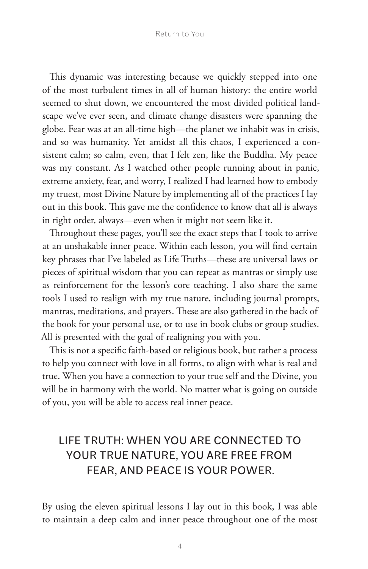This dynamic was interesting because we quickly stepped into one of the most turbulent times in all of human history: the entire world seemed to shut down, we encountered the most divided political landscape we've ever seen, and climate change disasters were spanning the globe. Fear was at an all-time high—the planet we inhabit was in crisis, and so was humanity. Yet amidst all this chaos, I experienced a consistent calm; so calm, even, that I felt zen, like the Buddha. My peace was my constant. As I watched other people running about in panic, extreme anxiety, fear, and worry, I realized I had learned how to embody my truest, most Divine Nature by implementing all of the practices I lay out in this book. This gave me the confidence to know that all is always in right order, always—even when it might not seem like it.

Throughout these pages, you'll see the exact steps that I took to arrive at an unshakable inner peace. Within each lesson, you will find certain key phrases that I've labeled as Life Truths—these are universal laws or pieces of spiritual wisdom that you can repeat as mantras or simply use as reinforcement for the lesson's core teaching. I also share the same tools I used to realign with my true nature, including journal prompts, mantras, meditations, and prayers. These are also gathered in the back of the book for your personal use, or to use in book clubs or group studies. All is presented with the goal of realigning you with you.

This is not a specific faith-based or religious book, but rather a process to help you connect with love in all forms, to align with what is real and true. When you have a connection to your true self and the Divine, you will be in harmony with the world. No matter what is going on outside of you, you will be able to access real inner peace.

#### LIFE TRUTH: WHEN YOU ARE CONNECTED TO YOUR TRUE NATURE, YOU ARE FREE FROM FEAR, AND PEACE IS YOUR POWER.

By using the eleven spiritual lessons I lay out in this book, I was able to maintain a deep calm and inner peace throughout one of the most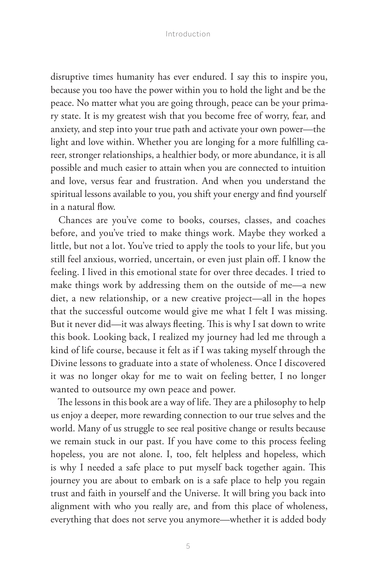disruptive times humanity has ever endured. I say this to inspire you, because you too have the power within you to hold the light and be the peace. No matter what you are going through, peace can be your primary state. It is my greatest wish that you become free of worry, fear, and anxiety, and step into your true path and activate your own power—the light and love within. Whether you are longing for a more fulfilling career, stronger relationships, a healthier body, or more abundance, it is all possible and much easier to attain when you are connected to intuition and love, versus fear and frustration. And when you understand the spiritual lessons available to you, you shift your energy and find yourself in a natural flow.

Chances are you've come to books, courses, classes, and coaches before, and you've tried to make things work. Maybe they worked a little, but not a lot. You've tried to apply the tools to your life, but you still feel anxious, worried, uncertain, or even just plain off. I know the feeling. I lived in this emotional state for over three decades. I tried to make things work by addressing them on the outside of me—a new diet, a new relationship, or a new creative project—all in the hopes that the successful outcome would give me what I felt I was missing. But it never did—it was always fleeting. This is why I sat down to write this book. Looking back, I realized my journey had led me through a kind of life course, because it felt as if I was taking myself through the Divine lessons to graduate into a state of wholeness. Once I discovered it was no longer okay for me to wait on feeling better, I no longer wanted to outsource my own peace and power.

The lessons in this book are a way of life. They are a philosophy to help us enjoy a deeper, more rewarding connection to our true selves and the world. Many of us struggle to see real positive change or results because we remain stuck in our past. If you have come to this process feeling hopeless, you are not alone. I, too, felt helpless and hopeless, which is why I needed a safe place to put myself back together again. This journey you are about to embark on is a safe place to help you regain trust and faith in yourself and the Universe. It will bring you back into alignment with who you really are, and from this place of wholeness, everything that does not serve you anymore—whether it is added body

5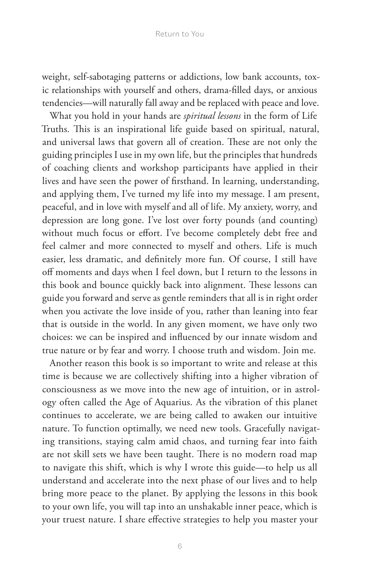weight, self-sabotaging patterns or addictions, low bank accounts, toxic relationships with yourself and others, drama-filled days, or anxious tendencies—will naturally fall away and be replaced with peace and love.

What you hold in your hands are *spiritual lessons* in the form of Life Truths. This is an inspirational life guide based on spiritual, natural, and universal laws that govern all of creation. These are not only the guiding principles I use in my own life, but the principles that hundreds of coaching clients and workshop participants have applied in their lives and have seen the power of firsthand. In learning, understanding, and applying them, I've turned my life into my message. I am present, peaceful, and in love with myself and all of life. My anxiety, worry, and depression are long gone. I've lost over forty pounds (and counting) without much focus or effort. I've become completely debt free and feel calmer and more connected to myself and others. Life is much easier, less dramatic, and definitely more fun. Of course, I still have off moments and days when I feel down, but I return to the lessons in this book and bounce quickly back into alignment. These lessons can guide you forward and serve as gentle reminders that all is in right order when you activate the love inside of you, rather than leaning into fear that is outside in the world. In any given moment, we have only two choices: we can be inspired and influenced by our innate wisdom and true nature or by fear and worry. I choose truth and wisdom. Join me.

Another reason this book is so important to write and release at this time is because we are collectively shifting into a higher vibration of consciousness as we move into the new age of intuition, or in astrology often called the Age of Aquarius. As the vibration of this planet continues to accelerate, we are being called to awaken our intuitive nature. To function optimally, we need new tools. Gracefully navigating transitions, staying calm amid chaos, and turning fear into faith are not skill sets we have been taught. There is no modern road map to navigate this shift, which is why I wrote this guide—to help us all understand and accelerate into the next phase of our lives and to help bring more peace to the planet. By applying the lessons in this book to your own life, you will tap into an unshakable inner peace, which is your truest nature. I share effective strategies to help you master your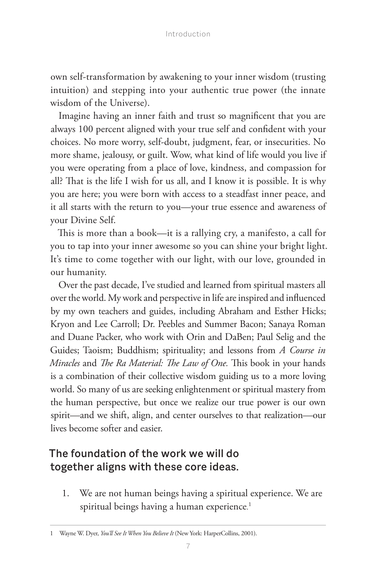own self-transformation by awakening to your inner wisdom (trusting intuition) and stepping into your authentic true power (the innate wisdom of the Universe).

Imagine having an inner faith and trust so magnificent that you are always 100 percent aligned with your true self and confident with your choices. No more worry, self-doubt, judgment, fear, or insecurities. No more shame, jealousy, or guilt. Wow, what kind of life would you live if you were operating from a place of love, kindness, and compassion for all? That is the life I wish for us all, and I know it is possible. It is why you are here; you were born with access to a steadfast inner peace, and it all starts with the return to you—your true essence and awareness of your Divine Self.

This is more than a book—it is a rallying cry, a manifesto, a call for you to tap into your inner awesome so you can shine your bright light. It's time to come together with our light, with our love, grounded in our humanity.

Over the past decade, I've studied and learned from spiritual masters all over the world. My work and perspective in life are inspired and influenced by my own teachers and guides, including Abraham and Esther Hicks; Kryon and Lee Carroll; Dr. Peebles and Summer Bacon; Sanaya Roman and Duane Packer, who work with Orin and DaBen; Paul Selig and the Guides; Taoism; Buddhism; spirituality; and lessons from *A Course in Miracles* and *The Ra Material: The Law of One*. This book in your hands is a combination of their collective wisdom guiding us to a more loving world. So many of us are seeking enlightenment or spiritual mastery from the human perspective, but once we realize our true power is our own spirit—and we shift, align, and center ourselves to that realization—our lives become softer and easier.

#### The foundation of the work we will do together aligns with these core ideas.

1. We are not human beings having a spiritual experience. We are spiritual beings having a human experience. 1

<sup>1</sup> Wayne W. Dyer, *You'll See It When You Believe It* (New York: HarperCollins, 2001).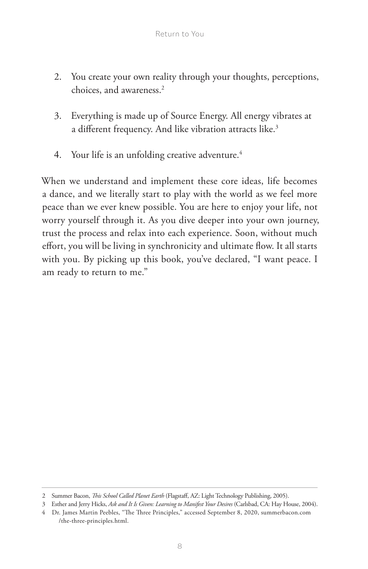- 2. You create your own reality through your thoughts, perceptions, choices, and awareness.2
- 3. Everything is made up of Source Energy. All energy vibrates at a different frequency. And like vibration attracts like.<sup>3</sup>
- 4. Your life is an unfolding creative adventure.<sup>4</sup>

When we understand and implement these core ideas, life becomes a dance, and we literally start to play with the world as we feel more peace than we ever knew possible. You are here to enjoy your life, not worry yourself through it. As you dive deeper into your own journey, trust the process and relax into each experience. Soon, without much effort, you will be living in synchronicity and ultimate flow. It all starts with you. By picking up this book, you've declared, "I want peace. I am ready to return to me."

<sup>2</sup> Summer Bacon, *This School Called Planet Earth* (Flagstaff, AZ: Light Technology Publishing, 2005).

<sup>3</sup> Esther and Jerry Hicks, *Ask and It Is Given: Learning to Manifest Your Desires* (Carlsbad, CA: Hay House, 2004).

<sup>4</sup> Dr. James Martin Peebles, "The Three Principles," accessed September 8, 2020, summerbacon.com /the-three-principles.html.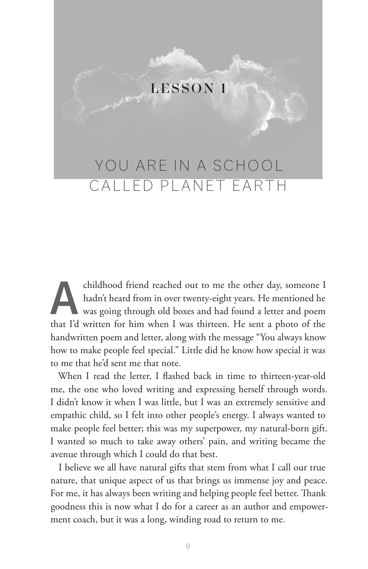### LESSON 1

# YOU ARE IN A SCHOOL CALLED PLANET EARTH

childhood friend reached out to me the other day, someone I<br>hadn't heard from in over twenty-eight years. He mentioned he<br>was going through old boxes and had found a letter and poem<br>that Ed written for him when I was thirt hadn't heard from in over twenty-eight years. He mentioned he was going through old boxes and had found a letter and poem that I'd written for him when I was thirteen. He sent a photo of the handwritten poem and letter, along with the message "You always know how to make people feel special." Little did he know how special it was to me that he'd sent me that note.

When I read the letter, I flashed back in time to thirteen-year-old me, the one who loved writing and expressing herself through words. I didn't know it when I was little, but I was an extremely sensitive and empathic child, so I felt into other people's energy. I always wanted to make people feel better; this was my superpower, my natural-born gift. I wanted so much to take away others' pain, and writing became the avenue through which I could do that best.

I believe we all have natural gifts that stem from what I call our true nature, that unique aspect of us that brings us immense joy and peace. For me, it has always been writing and helping people feel better. Thank goodness this is now what I do for a career as an author and empowerment coach, but it was a long, winding road to return to me.